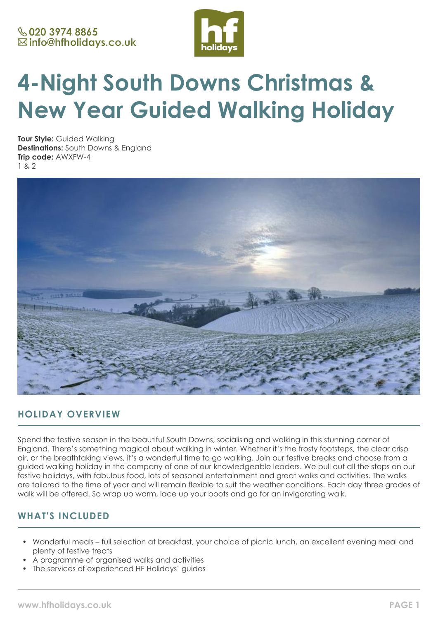

# **4-Night South Downs Christmas & New Year Guided Walking Holiday**

**Tour Style:** Guided Walking **Destinations:** South Downs & England **Trip code:** AWXFW-4 1 & 2



# **HOLIDAY OVERVIEW**

Spend the festive season in the beautiful South Downs, socialising and walking in this stunning corner of England. There's something magical about walking in winter. Whether it's the frosty footsteps, the clear crisp air, or the breathtaking views, it's a wonderful time to go walking. Join our festive breaks and choose from a guided walking holiday in the company of one of our knowledgeable leaders. We pull out all the stops on our festive holidays, with fabulous food, lots of seasonal entertainment and great walks and activities. The walks are tailored to the time of year and will remain flexible to suit the weather conditions. Each day three grades of walk will be offered. So wrap up warm, lace up your boots and go for an invigorating walk.

# **WHAT'S INCLUDED**

- Wonderful meals full selection at breakfast, your choice of picnic lunch, an excellent evening meal and plenty of festive treats
- A programme of organised walks and activities
- The services of experienced HF Holidays' quides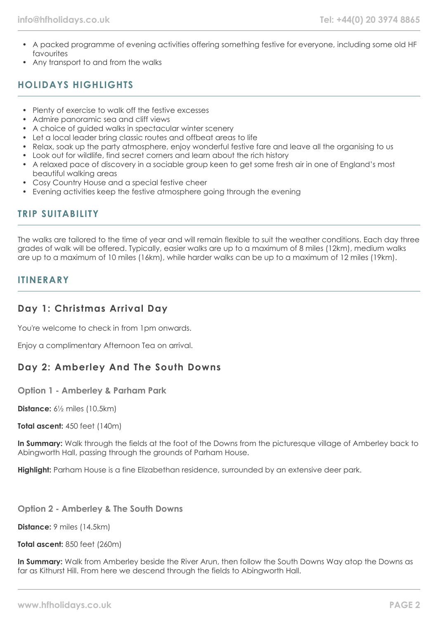- A packed programme of evening activities offering something festive for everyone, including some old HF favourites
- Any transport to and from the walks

# **HOLIDAYS HIGHLIGHTS**

- Plenty of exercise to walk off the festive excesses
- Admire panoramic sea and cliff views
- A choice of guided walks in spectacular winter scenery
- Let a local leader bring classic routes and offbeat areas to life
- Relax, soak up the party atmosphere, enjoy wonderful festive fare and leave all the organising to us
- Look out for wildlife, find secret corners and learn about the rich history
- A relaxed pace of discovery in a sociable group keen to get some fresh air in one of England's most beautiful walking areas
- Cosy Country House and a special festive cheer
- Evening activities keep the festive atmosphere going through the evening

# **TRIP SUITABILITY**

The walks are tailored to the time of year and will remain flexible to suit the weather conditions. Each day three grades of walk will be offered. Typically, easier walks are up to a maximum of 8 miles (12km), medium walks are up to a maximum of 10 miles (16km), while harder walks can be up to a maximum of 12 miles (19km).

### **ITINERARY**

### **Day 1: Christmas Arrival Day**

You're welcome to check in from 1pm onwards.

Enjoy a complimentary Afternoon Tea on arrival.

# **Day 2: Amberley And The South Downs**

**Option 1 - Amberley & Parham Park**

**Distance:** 6½ miles (10.5km)

**Total ascent:** 450 feet (140m)

**In Summary:** Walk through the fields at the foot of the Downs from the picturesque village of Amberley back to Abingworth Hall, passing through the grounds of Parham House.

**Highlight:** Parham House is a fine Elizabethan residence, surrounded by an extensive deer park.

**Option 2 - Amberley & The South Downs**

**Distance:** 9 miles (14.5km)

**Total ascent:** 850 feet (260m)

**In Summary:** Walk from Amberley beside the River Arun, then follow the South Downs Way atop the Downs as far as Kithurst Hill. From here we descend through the fields to Abingworth Hall.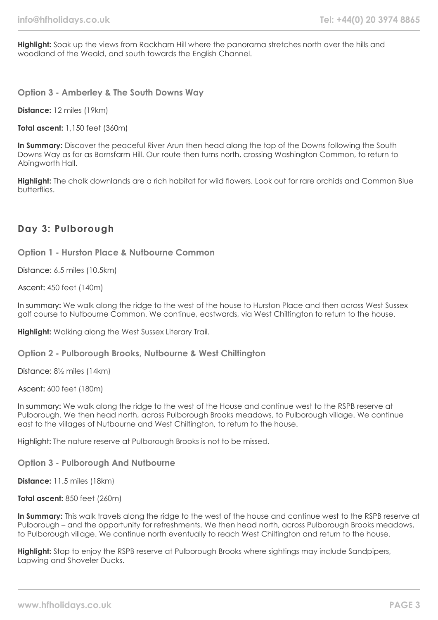**Highlight:** Soak up the views from Rackham Hill where the panorama stretches north over the hills and woodland of the Weald, and south towards the English Channel.

**Option 3 - Amberley & The South Downs Way**

**Distance:** 12 miles (19km)

**Total ascent:** 1,150 feet (360m)

In Summary: Discover the peaceful River Arun then head along the top of the Downs following the South Downs Way as far as Barnsfarm Hill. Our route then turns north, crossing Washington Common, to return to Abingworth Hall.

**Highlight:** The chalk downlands are a rich habitat for wild flowers. Look out for rare orchids and Common Blue butterflies.

### **Day 3: Pulborough**

**Option 1 - Hurston Place & Nutbourne Common**

Distance: 6.5 miles (10.5km)

Ascent: 450 feet (140m)

In summary: We walk along the ridge to the west of the house to Hurston Place and then across West Sussex golf course to Nutbourne Common. We continue, eastwards, via West Chiltington to return to the house.

**Highlight:** Walking along the West Sussex Literary Trail.

**Option 2 - Pulborough Brooks, Nutbourne & West Chiltington**

Distance: 8½ miles (14km)

Ascent: 600 feet (180m)

In summary: We walk along the ridge to the west of the House and continue west to the RSPB reserve at Pulborough. We then head north, across Pulborough Brooks meadows, to Pulborough village. We continue east to the villages of Nutbourne and West Chiltington, to return to the house.

Highlight: The nature reserve at Pulborough Brooks is not to be missed.

**Option 3 - Pulborough And Nutbourne**

**Distance:** 11.5 miles (18km)

**Total ascent:** 850 feet (260m)

**In Summary:** This walk travels along the ridge to the west of the house and continue west to the RSPB reserve at Pulborough – and the opportunity for refreshments. We then head north, across Pulborough Brooks meadows, to Pulborough village. We continue north eventually to reach West Chiltington and return to the house.

**Highlight:** Stop to enjoy the RSPB reserve at Pulborough Brooks where sightings may include Sandpipers, Lapwing and Shoveler Ducks.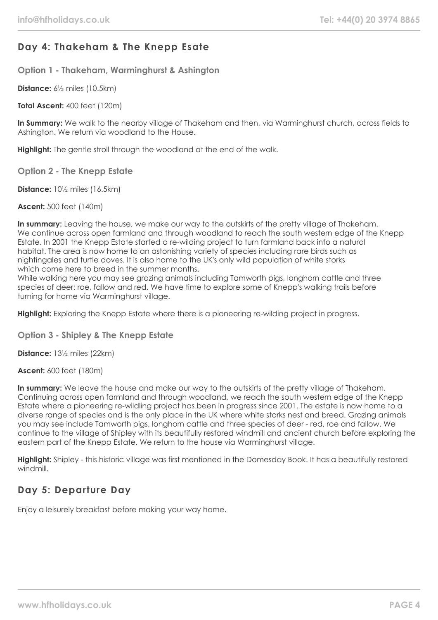# **Day 4: Thakeham & The Knepp Esate**

**Option 1 - Thakeham, Warminghurst & Ashington**

**Distance:** 6½ miles (10.5km)

**Total Ascent:** 400 feet (120m)

**In Summary:** We walk to the nearby village of Thakeham and then, via Warminghurst church, across fields to Ashington. We return via woodland to the House.

**Highlight:** The gentle stroll through the woodland at the end of the walk.

**Option 2 - The Knepp Estate**

**Distance:** 10½ miles (16.5km)

**Ascent:** 500 feet (140m)

**In summary:** Leaving the house, we make our way to the outskirts of the pretty village of Thakeham. We continue across open farmland and through woodland to reach the south western edge of the Knepp Estate. In 2001 the Knepp Estate started a re-wilding project to turn farmland back into a natural habitat. The area is now home to an astonishing variety of species including rare birds such as nightingales and turtle doves. It is also home to the UK's only wild population of white storks which come here to breed in the summer months.

While walking here you may see grazing animals including Tamworth pigs, longhorn cattle and three species of deer: roe, fallow and red. We have time to explore some of Knepp's walking trails before turning for home via Warminghurst village.

**Highlight:** Exploring the Knepp Estate where there is a pioneering re-wilding project in progress.

**Option 3 - Shipley & The Knepp Estate**

**Distance:** 13½ miles (22km)

**Ascent:** 600 feet (180m)

**In summary:** We leave the house and make our way to the outskirts of the pretty village of Thakeham. Continuing across open farmland and through woodland, we reach the south western edge of the Knepp Estate where a pioneering re-wildling project has been in progress since 2001. The estate is now home to a diverse range of species and is the only place in the UK where white storks nest and breed. Grazing animals you may see include Tamworth pigs, longhorn cattle and three species of deer - red, roe and fallow. We continue to the village of Shipley with its beautifully restored windmill and ancient church before exploring the eastern part of the Knepp Estate. We return to the house via Warminghurst village.

**Highlight:** Shipley - this historic village was first mentioned in the Domesday Book. It has a beautifully restored windmill.

# **Day 5: Departure Day**

Enjoy a leisurely breakfast before making your way home.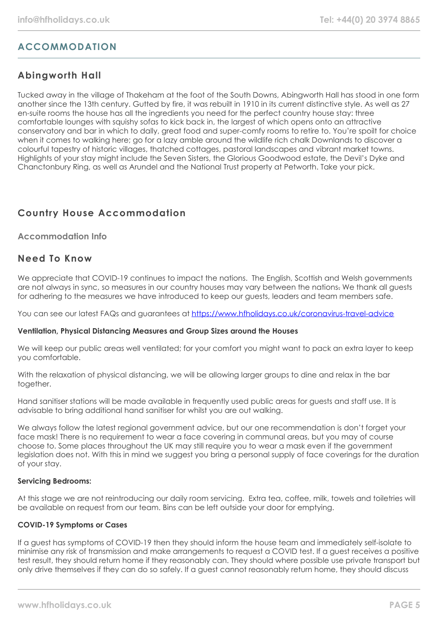# **ACCOMMODATION**

# **Abingworth Hall**

Tucked away in the village of Thakeham at the foot of the South Downs, Abingworth Hall has stood in one form another since the 13th century. Gutted by fire, it was rebuilt in 1910 in its current distinctive style. As well as 27 en-suite rooms the house has all the ingredients you need for the perfect country house stay: three comfortable lounges with squishy sofas to kick back in, the largest of which opens onto an attractive conservatory and bar in which to dally, great food and super-comfy rooms to retire to. You're spoilt for choice when it comes to walking here; go for a lazy amble around the wildlife rich chalk Downlands to discover a colourful tapestry of historic villages, thatched cottages, pastoral landscapes and vibrant market towns. Highlights of your stay might include the Seven Sisters, the Glorious Goodwood estate, the Devil's Dyke and Chanctonbury Ring, as well as Arundel and the National Trust property at Petworth. Take your pick.

# **Country House Accommodation**

### **Accommodation Info**

### **Need To Know**

We appreciate that COVID-19 continues to impact the nations. The English, Scottish and Welsh governments are not always in sync, so measures in our country houses may vary between the nations. We thank all quests for adhering to the measures we have introduced to keep our guests, leaders and team members safe.

You can see our latest FAQs and guarantees at <https://www.hfholidays.co.uk/coronavirus-travel-advice>

### **Ventilation, Physical Distancing Measures and Group Sizes around the Houses**

We will keep our public areas well ventilated; for your comfort you might want to pack an extra layer to keep you comfortable.

With the relaxation of physical distancing, we will be allowing larger groups to dine and relax in the bar together.

Hand sanitiser stations will be made available in frequently used public areas for guests and staff use. It is advisable to bring additional hand sanitiser for whilst you are out walking.

We always follow the latest regional government advice, but our one recommendation is don't forget your face mask! There is no requirement to wear a face covering in communal areas, but you may of course choose to. Some places throughout the UK may still require you to wear a mask even if the government legislation does not. With this in mind we suggest you bring a personal supply of face coverings for the duration of your stay.

### **Servicing Bedrooms:**

At this stage we are not reintroducing our daily room servicing. Extra tea, coffee, milk, towels and toiletries will be available on request from our team. Bins can be left outside your door for emptying.

### **COVID-19 Symptoms or Cases**

If a guest has symptoms of COVID-19 then they should inform the house team and immediately self-isolate to minimise any risk of transmission and make arrangements to request a COVID test. If a guest receives a positive test result, they should return home if they reasonably can. They should where possible use private transport but only drive themselves if they can do so safely. If a guest cannot reasonably return home, they should discuss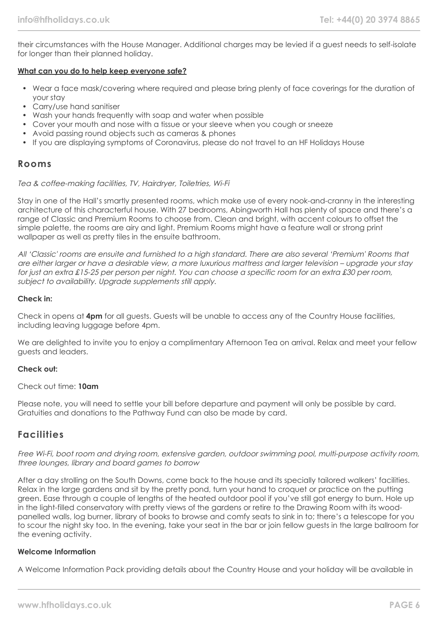their circumstances with the House Manager. Additional charges may be levied if a guest needs to self-isolate for longer than their planned holiday.

#### **What can you do to help keep everyone safe?**

- Wear a face mask/covering where required and please bring plenty of face coverings for the duration of your stay
- Carry/use hand sanitiser
- Wash your hands frequently with soap and water when possible
- Cover your mouth and nose with a tissue or your sleeve when you cough or sneeze
- Avoid passing round objects such as cameras & phones
- If you are displaying symptoms of Coronavirus, please do not travel to an HF Holidays House

### **Rooms**

#### Tea & coffee-making facilities, TV, Hairdryer, Toiletries, Wi-Fi

Stay in one of the Hall's smartly presented rooms, which make use of every nook-and-cranny in the interesting architecture of this characterful house. With 27 bedrooms, Abingworth Hall has plenty of space and there's a range of Classic and Premium Rooms to choose from. Clean and bright, with accent colours to offset the simple palette, the rooms are airy and light. Premium Rooms might have a feature wall or strong print wallpaper as well as pretty tiles in the ensuite bathroom.

All 'Classic' rooms are ensuite and furnished to a high standard. There are also several 'Premium' Rooms that are either larger or have a desirable view, a more luxurious mattress and larger television – upgrade your stay for just an extra £15-25 per person per night. You can choose a specific room for an extra £30 per room, subject to availability. Upgrade supplements still apply.

#### **Check in:**

Check in opens at **4pm** for all guests. Guests will be unable to access any of the Country House facilities, including leaving luggage before 4pm.

We are delighted to invite you to enjoy a complimentary Afternoon Tea on arrival. Relax and meet your fellow guests and leaders.

### **Check out:**

### Check out time: **10am**

Please note, you will need to settle your bill before departure and payment will only be possible by card. Gratuities and donations to the Pathway Fund can also be made by card.

### **Facilities**

Free Wi-Fi, boot room and drying room, extensive garden, outdoor swimming pool, multi-purpose activity room, three lounges, library and board games to borrow

After a day strolling on the South Downs, come back to the house and its specially tailored walkers' facilities. Relax in the large gardens and sit by the pretty pond, turn your hand to croquet or practice on the putting green. Ease through a couple of lengths of the heated outdoor pool if you've still got energy to burn. Hole up in the light-filled conservatory with pretty views of the gardens or retire to the Drawing Room with its woodpanelled walls, log burner, library of books to browse and comfy seats to sink in to; there's a telescope for you to scour the night sky too. In the evening, take your seat in the bar or join fellow guests in the large ballroom for the evening activity.

#### **Welcome Information**

A Welcome Information Pack providing details about the Country House and your holiday will be available in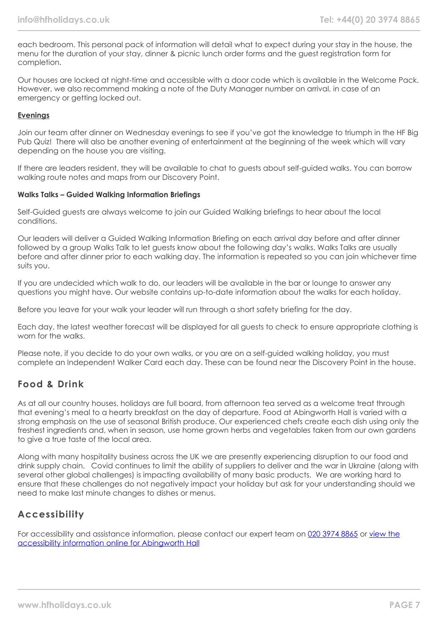each bedroom. This personal pack of information will detail what to expect during your stay in the house, the menu for the duration of your stay, dinner & picnic lunch order forms and the guest registration form for completion.

Our houses are locked at night-time and accessible with a door code which is available in the Welcome Pack. However, we also recommend making a note of the Duty Manager number on arrival, in case of an emergency or getting locked out.

### **Evenings**

Join our team after dinner on Wednesday evenings to see if you've got the knowledge to triumph in the HF Big Pub Quiz! There will also be another evening of entertainment at the beginning of the week which will vary depending on the house you are visiting.

If there are leaders resident, they will be available to chat to guests about self-guided walks. You can borrow walking route notes and maps from our Discovery Point.

#### **Walks Talks – Guided Walking Information Briefings**

Self-Guided guests are always welcome to join our Guided Walking briefings to hear about the local conditions.

Our leaders will deliver a Guided Walking Information Briefing on each arrival day before and after dinner followed by a group Walks Talk to let guests know about the following day's walks. Walks Talks are usually before and after dinner prior to each walking day. The information is repeated so you can join whichever time suits you.

If you are undecided which walk to do, our leaders will be available in the bar or lounge to answer any questions you might have. Our website contains up-to-date information about the walks for each holiday.

Before you leave for your walk your leader will run through a short safety briefing for the day.

Each day, the latest weather forecast will be displayed for all guests to check to ensure appropriate clothing is worn for the walks.

Please note, if you decide to do your own walks, or you are on a self-guided walking holiday, you must complete an Independent Walker Card each day. These can be found near the Discovery Point in the house.

# **Food & Drink**

As at all our country houses, holidays are full board, from afternoon tea served as a welcome treat through that evening's meal to a hearty breakfast on the day of departure. Food at Abingworth Hall is varied with a strong emphasis on the use of seasonal British produce. Our experienced chefs create each dish using only the freshest ingredients and, when in season, use home grown herbs and vegetables taken from our own gardens to give a true taste of the local area.

Along with many hospitality business across the UK we are presently experiencing disruption to our food and drink supply chain. Covid continues to limit the ability of suppliers to deliver and the war in Ukraine (along with several other global challenges) is impacting availability of many basic products. We are working hard to ensure that these challenges do not negatively impact your holiday but ask for your understanding should we need to make last minute changes to dishes or menus.

# **Accessibility**

For accessibility and assistance information, please contact our expert team on [020 3974 8865](tel:02039748865) or [view the](https://www.hfholidays.co.uk/images/Documents/accessibility_statements/Abingworth_-_accessibility_information_-_update_Feb_2021.pdf) [accessibility information online for Abingworth Hall](https://www.hfholidays.co.uk/images/Documents/accessibility_statements/Abingworth_-_accessibility_information_-_update_Feb_2021.pdf)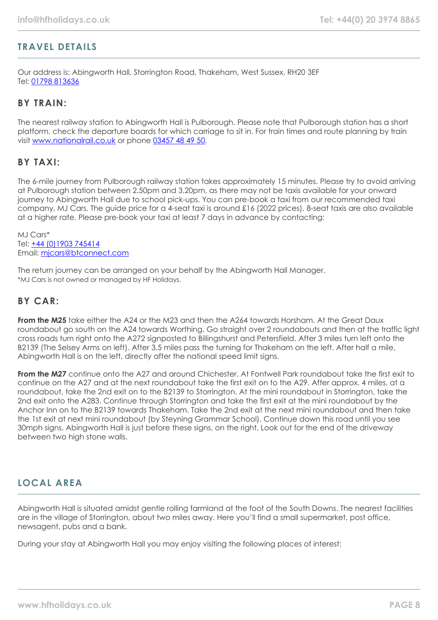# **TRAVEL DETAILS**

Our address is: Abingworth Hall, Storrington Road, Thakeham, West Sussex, RH20 3EF Tel: [01798 813636](tel:01798813636)

### **BY TRAIN:**

The nearest railway station to Abingworth Hall is Pulborough. Please note that Pulborough station has a short platform, check the departure boards for which carriage to sit in. For train times and route planning by train visit [www.nationalrail.co.uk](http://www.nationalrail.co.uk/) or phone [03457 48 49 50.](tel:01903745414)

### **BY TAXI:**

The 6-mile journey from Pulborough railway station takes approximately 15 minutes. Please try to avoid arriving at Pulborough station between 2.50pm and 3.20pm, as there may not be taxis available for your onward journey to Abingworth Hall due to school pick-ups. You can pre-book a taxi from our recommended taxi company, MJ Cars. The guide price for a 4-seat taxi is around £16 (2022 prices). 8-seat taxis are also available at a higher rate. Please pre-book your taxi at least 7 days in advance by contacting:

MJ Cars\* Tel: [+44 \(0\)1903 745414](tel:01903745414) Email: [mjcars@btconnect.com](mailto:mjcars@btconnect.com)

The return journey can be arranged on your behalf by the Abingworth Hall Manager. \*MJ Cars is not owned or managed by HF Holidays.

### **BY CAR:**

**From the M25** take either the A24 or the M23 and then the A264 towards Horsham. At the Great Daux roundabout go south on the A24 towards Worthing. Go straight over 2 roundabouts and then at the traffic light cross roads turn right onto the A272 signposted to Billingshurst and Petersfield. After 3 miles turn left onto the B2139 (The Selsey Arms on left). After 3.5 miles pass the turning for Thakeham on the left. After half a mile, Abingworth Hall is on the left, directly after the national speed limit signs.

**From the M27** continue onto the A27 and around Chichester. At Fontwell Park roundabout take the first exit to continue on the A27 and at the next roundabout take the first exit on to the A29. After approx. 4 miles, at a roundabout, take the 2nd exit on to the B2139 to Storrington. At the mini roundabout in Storrington, take the 2nd exit onto the A283. Continue through Storrington and take the first exit at the mini roundabout by the Anchor Inn on to the B2139 towards Thakeham. Take the 2nd exit at the next mini roundabout and then take the 1st exit at next mini roundabout (by Steyning Grammar School). Continue down this road until you see 30mph signs. Abingworth Hall is just before these signs, on the right. Look out for the end of the driveway between two high stone walls.

# **LOCAL AREA**

Abingworth Hall is situated amidst gentle rolling farmland at the foot of the South Downs. The nearest facilities are in the village of Storrington, about two miles away. Here you'll find a small supermarket, post office, newsagent, pubs and a bank.

During your stay at Abingworth Hall you may enjoy visiting the following places of interest: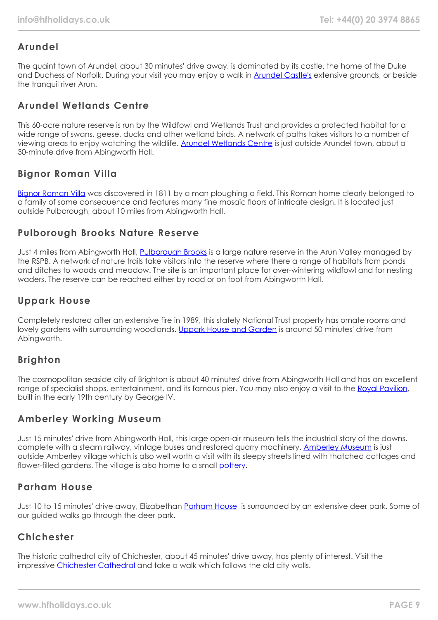# **Arundel**

The quaint town of Arundel, about 30 minutes' drive away, is dominated by its castle, the home of the Duke and Duchess of Norfolk. During your visit you may enjoy a walk in **[Arundel Castle's](https://www.arundelcastle.org/)** extensive grounds, or beside the tranquil river Arun.

# **Arundel Wetlands Centre**

This 60-acre nature reserve is run by the Wildfowl and Wetlands Trust and provides a protected habitat for a wide range of swans, geese, ducks and other wetland birds. A network of paths takes visitors to a number of viewing areas to enjoy watching the wildlife. [Arundel Wetlands Centre](https://www.wwt.org.uk/wetland-centres/arundel) is just outside Arundel town, about a 30-minute drive from Abingworth Hall.

# **Bignor Roman Villa**

[Bignor Roman Villa](https://www.bignorromanvilla.co.uk/) was discovered in 1811 by a man ploughing a field. This Roman home clearly belonged to a family of some consequence and features many fine mosaic floors of intricate design. It is located just outside Pulborough, about 10 miles from Abingworth Hall.

### **Pulborough Brooks Nature Reserve**

Just 4 miles from Abingworth Hall, [Pulborough Brooks](https://www.rspb.org.uk/reserves-and-events/reserves-a-z/pulborough-brooks/) is a large nature reserve in the Arun Valley managed by the RSPB. A network of nature trails take visitors into the reserve where there a range of habitats from ponds and ditches to woods and meadow. The site is an important place for over-wintering wildfowl and for nesting waders. The reserve can be reached either by road or on foot from Abingworth Hall.

# **Uppark House**

Completely restored after an extensive fire in 1989, this stately National Trust property has ornate rooms and lovely gardens with surrounding woodlands. [Uppark House and Garden](https://www.nationaltrust.org.uk/uppark-house-and-garden) is around 50 minutes' drive from Abingworth.

# **Brighton**

The cosmopolitan seaside city of Brighton is about 40 minutes' drive from Abingworth Hall and has an excellent range of specialist shops, entertainment, and its famous pier. You may also enjoy a visit to the [Royal Pavilion](https://brightonmuseums.org.uk/royalpavilion/), built in the early 19th century by George IV.

# **Amberley Working Museum**

Just 15 minutes' drive from Abingworth Hall, this large open-air museum tells the industrial story of the downs, complete with a steam railway, vintage buses and restored quarry machinery. [Amberley Museum](https://www.amberleymuseum.co.uk/) is just outside Amberley village which is also well worth a visit with its sleepy streets lined with thatched cottages and flower-filled gardens. The village is also home to a small [pottery.](http://www.amberleypottery.co.uk/)

# **Parham House**

Just 10 to 15 minutes' drive away, Elizabethan [Parham House](https://www.parhaminsussex.co.uk/) is surrounded by an extensive deer park. Some of our guided walks go through the deer park.

# **Chichester**

The historic cathedral city of Chichester, about 45 minutes' drive away, has plenty of interest. Visit the impressive [Chichester Cathedral](https://www.chichestercathedral.org.uk/) and take a walk which follows the old city walls.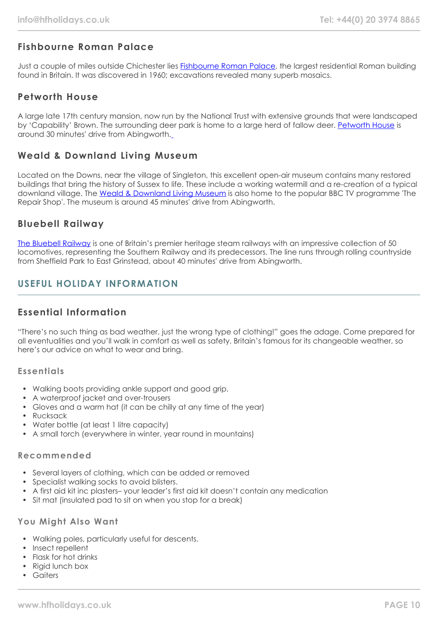# **Fishbourne Roman Palace**

Just a couple of miles outside Chichester lies [Fishbourne Roman Palace,](https://www.visitchichester.org/activity/fishbourne-roman-palace-and-gardens) the largest residential Roman building found in Britain. It was discovered in 1960; excavations revealed many superb mosaics.

# **Petworth House**

A large late 17th century mansion, now run by the National Trust with extensive grounds that were landscaped by 'Capability' Brown. The surrounding deer park is home to a large herd of fallow deer. [Petworth House](https://www.nationaltrust.org.uk/petworth-house-and-park) is around 30 minutes' drive from Abingworth.

### **Weald & Downland Living Museum**

Located on the Downs, near the village of Singleton, this excellent open-air museum contains many restored buildings that bring the history of Sussex to life. These include a working watermill and a re-creation of a typical downland village. The [Weald & Downland Living Museum](https://www.wealddown.co.uk/) is also home to the popular BBC TV programme 'The Repair Shop'. The museum is around 45 minutes' drive from Abingworth.

### **Bluebell Railway**

[The Bluebell Railway](https://www.bluebell-railway.com/brps/) is one of Britain's premier heritage steam railways with an impressive collection of 50 locomotives, representing the Southern Railway and its predecessors. The line runs through rolling countryside from Sheffield Park to East Grinstead, about 40 minutes' drive from Abingworth.

# **USEFUL HOLIDAY INFORMATION**

# **Essential Information**

"There's no such thing as bad weather, just the wrong type of clothing!" goes the adage. Come prepared for all eventualities and you'll walk in comfort as well as safety. Britain's famous for its changeable weather, so here's our advice on what to wear and bring.

### **Essentials**

- Walking boots providing ankle support and good grip.
- A waterproof jacket and over-trousers
- Gloves and a warm hat (it can be chilly at any time of the year)
- Rucksack
- Water bottle (at least 1 litre capacity)
- A small torch (everywhere in winter, year round in mountains)

### **Recommended**

- Several layers of clothing, which can be added or removed
- Specialist walking socks to avoid blisters.
- A first aid kit inc plasters– your leader's first aid kit doesn't contain any medication
- Sit mat (insulated pad to sit on when you stop for a break)

### **You Might Also Want**

- Walking poles, particularly useful for descents.
- Insect repellent
- Flask for hot drinks
- Rigid lunch box
- Gaiters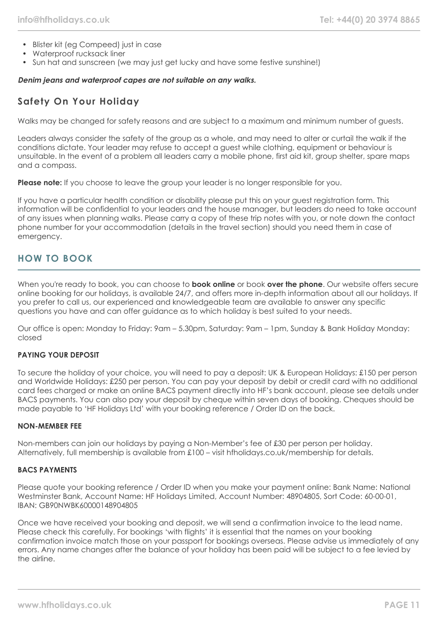- Blister kit (eg Compeed) just in case
- Waterproof rucksack liner
- Sun hat and sunscreen (we may just get lucky and have some festive sunshine!)

#### **Denim jeans and waterproof capes are not suitable on any walks.**

# **Safety On Your Holiday**

Walks may be changed for safety reasons and are subject to a maximum and minimum number of guests.

Leaders always consider the safety of the group as a whole, and may need to alter or curtail the walk if the conditions dictate. Your leader may refuse to accept a guest while clothing, equipment or behaviour is unsuitable. In the event of a problem all leaders carry a mobile phone, first aid kit, group shelter, spare maps and a compass.

**Please note:** If you choose to leave the group your leader is no longer responsible for you.

If you have a particular health condition or disability please put this on your guest registration form. This information will be confidential to your leaders and the house manager, but leaders do need to take account of any issues when planning walks. Please carry a copy of these trip notes with you, or note down the contact phone number for your accommodation (details in the travel section) should you need them in case of emergency.

# **HOW TO BOOK**

When you're ready to book, you can choose to **book online** or book **over the phone**. Our website offers secure online booking for our holidays, is available 24/7, and offers more in-depth information about all our holidays. If you prefer to call us, our experienced and knowledgeable team are available to answer any specific questions you have and can offer guidance as to which holiday is best suited to your needs.

Our office is open: Monday to Friday: 9am – 5.30pm, Saturday: 9am – 1pm, Sunday & Bank Holiday Monday: closed

### **PAYING YOUR DEPOSIT**

To secure the holiday of your choice, you will need to pay a deposit: UK & European Holidays: £150 per person and Worldwide Holidays: £250 per person. You can pay your deposit by debit or credit card with no additional card fees charged or make an online BACS payment directly into HF's bank account, please see details under BACS payments. You can also pay your deposit by cheque within seven days of booking. Cheques should be made payable to 'HF Holidays Ltd' with your booking reference / Order ID on the back.

#### **NON-MEMBER FEE**

Non-members can join our holidays by paying a Non-Member's fee of £30 per person per holiday. Alternatively, full membership is available from £100 – visit hfholidays.co.uk/membership for details.

#### **BACS PAYMENTS**

Please quote your booking reference / Order ID when you make your payment online: Bank Name: National Westminster Bank, Account Name: HF Holidays Limited, Account Number: 48904805, Sort Code: 60-00-01, IBAN: GB90NWBK60000148904805

Once we have received your booking and deposit, we will send a confirmation invoice to the lead name. Please check this carefully. For bookings 'with flights' it is essential that the names on your booking confirmation invoice match those on your passport for bookings overseas. Please advise us immediately of any errors. Any name changes after the balance of your holiday has been paid will be subject to a fee levied by the airline.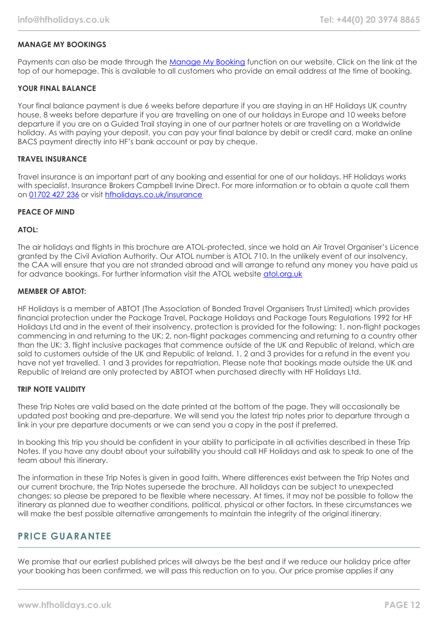### **MANAGE MY BOOKINGS**

Payments can also be made through the [Manage My Booking](https://www.hfholidays.co.uk/about-us/bookings/my-booking) function on our website. Click on the link at the top of our homepage. This is available to all customers who provide an email address at the time of booking.

#### **YOUR FINAL BALANCE**

Your final balance payment is due 6 weeks before departure if you are staying in an HF Holidays UK country house, 8 weeks before departure if you are travelling on one of our holidays in Europe and 10 weeks before departure if you are on a Guided Trail staying in one of our partner hotels or are travelling on a Worldwide holiday. As with paying your deposit, you can pay your final balance by debit or credit card, make an online BACS payment directly into HF's bank account or pay by cheque.

#### **TRAVEL INSURANCE**

Travel insurance is an important part of any booking and essential for one of our holidays. HF Holidays works with specialist. Insurance Brokers Campbell Irvine Direct. For more information or to obtain a quote call them on [01702 427 236](tel:01702427236) or visit [hfholidays.co.uk/insurance](https://www.hfholidays.co.uk/about-us/bookings/insurance)

#### **PEACE OF MIND**

#### **ATOL:**

The air holidays and flights in this brochure are ATOL-protected, since we hold an Air Travel Organiser's Licence granted by the Civil Aviation Authority. Our ATOL number is ATOL 710. In the unlikely event of our insolvency, the CAA will ensure that you are not stranded abroad and will arrange to refund any money you have paid us for advance bookings. For further information visit the ATOL website [atol.org.uk](https://www.atol.org/)

#### **MEMBER OF ABTOT:**

HF Holidays is a member of ABTOT (The Association of Bonded Travel Organisers Trust Limited) which provides financial protection under the Package Travel, Package Holidays and Package Tours Regulations 1992 for HF Holidays Ltd and in the event of their insolvency, protection is provided for the following: 1. non-flight packages commencing in and returning to the UK; 2. non-flight packages commencing and returning to a country other than the UK; 3. flight inclusive packages that commence outside of the UK and Republic of Ireland, which are sold to customers outside of the UK and Republic of Ireland. 1, 2 and 3 provides for a refund in the event you have not yet travelled. 1 and 3 provides for repatriation. Please note that bookings made outside the UK and Republic of Ireland are only protected by ABTOT when purchased directly with HF Holidays Ltd.

#### **TRIP NOTE VALIDITY**

These Trip Notes are valid based on the date printed at the bottom of the page. They will occasionally be updated post booking and pre-departure. We will send you the latest trip notes prior to departure through a link in your pre departure documents or we can send you a copy in the post if preferred.

In booking this trip you should be confident in your ability to participate in all activities described in these Trip Notes. If you have any doubt about your suitability you should call HF Holidays and ask to speak to one of the team about this itinerary.

The information in these Trip Notes is given in good faith. Where differences exist between the Trip Notes and our current brochure, the Trip Notes supersede the brochure. All holidays can be subject to unexpected changes; so please be prepared to be flexible where necessary. At times, it may not be possible to follow the itinerary as planned due to weather conditions, political, physical or other factors. In these circumstances we will make the best possible alternative arrangements to maintain the integrity of the original itinerary.

### **PRICE GUARANTEE**

We promise that our earliest published prices will always be the best and if we reduce our holiday price after your booking has been confirmed, we will pass this reduction on to you. Our price promise applies if any